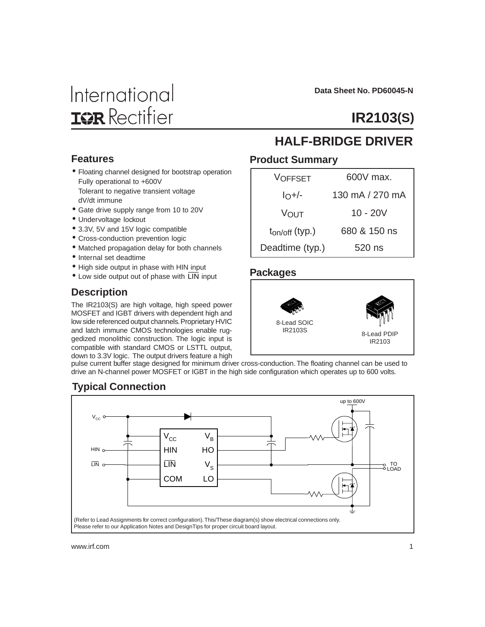# International **IGR** Rectifier

 **Data Sheet No. PD60045-N**

# **IR2103(S)**

#### **Features**

- Floating channel designed for bootstrap operation Fully operational to +600V Tolerant to negative transient voltage dV/dt immune
- Gate drive supply range from 10 to 20V
- Undervoltage lockout
- 3.3V, 5V and 15V logic compatible
- Cross-conduction prevention logic
- Matched propagation delay for both channels
- Internal set deadtime
- High side output in phase with HIN input
- $\bullet$  Low side output out of phase with  $\overline{\text{LIN}}$  input

### **Description**

The IR2103(S) are high voltage, high speed power MOSFET and IGBT drivers with dependent high and low side referenced output channels. Proprietary HVIC and latch immune CMOS technologies enable ruggedized monolithic construction. The logic input is compatible with standard CMOS or LSTTL output, down to 3.3V logic. The output drivers feature a high

### **HALF-BRIDGE DRIVER**

#### **Product Summary**

| VOFFSET             | $600V$ max.     |
|---------------------|-----------------|
| $I_O+/-$            | 130 mA / 270 mA |
| VOUT                | 10 - 20V        |
| $t_{on/off}$ (typ.) | 680 & 150 ns    |
| Deadtime (typ.)     | 520 ns          |

#### **Packages**



pulse current buffer stage designed for minimum driver cross-conduction. The floating channel can be used to drive an N-channel power MOSFET or IGBT in the high side configuration which operates up to 600 volts.



### **Typical Connection**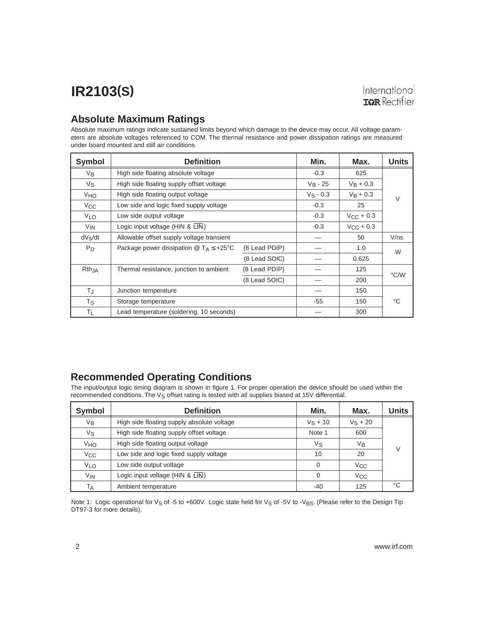#### **Absolute Maximum Ratings**

Absolute maximum ratings indicate sustained limits beyond which damage to the device may occur. All voltage parameters are absolute voltages referenced to COM. The thermal resistance and power dissipation ratings are measured under board mounted and still air conditions.

| <b>Symbol</b>         | <b>Definition</b>                                        |               | Min.        | Max.               | <b>Units</b> |
|-----------------------|----------------------------------------------------------|---------------|-------------|--------------------|--------------|
| $V_{B}$               | High side floating absolute voltage                      |               | $-0.3$      | 625                |              |
| Vs                    | High side floating supply offset voltage                 |               | $V_B - 25$  | $V_B + 0.3$        |              |
| <b>V<sub>HO</sub></b> | High side floating output voltage                        |               | $V_S - 0.3$ | $V_B + 0.3$        | $\vee$       |
| $V_{\rm CC}$          | Low side and logic fixed supply voltage                  |               | $-0.3$      | 25                 |              |
| V <sub>LO</sub>       | Low side output voltage                                  |               | $-0.3$      | $V_{\rm CC}$ + 0.3 |              |
| <b>V<sub>IN</sub></b> | Logic input voltage (HIN & LIN)                          |               | $-0.3$      | $V_{CC}$ + 0.3     |              |
| $dV_S/dt$             | Allowable offset supply voltage transient                |               |             | 50                 | V/ns         |
| $P_D$                 | Package power dissipation $\omega T_A \leq +25^{\circ}C$ | (8 Lead PDIP) |             | 1.0                | W            |
|                       |                                                          | (8 Lead SOIC) |             | 0.625              |              |
| RthJA                 | Thermal resistance, junction to ambient                  | (8 Lead PDIP) |             | 125                |              |
|                       |                                                          | (8 Lead SOIC) |             | 200                | °C/W         |
| ТJ                    | Junction temperature                                     |               |             | 150                |              |
| Τs.                   | Storage temperature                                      |               | $-55$       | 150                | °C           |
| ΤL                    | Lead temperature (soldering, 10 seconds)                 |               |             | 300                |              |

### **Recommended Operating Conditions**

The input/output logic timing diagram is shown in figure 1. For proper operation the device should be used within the recommended conditions. The V<sub>S</sub> offset rating is tested with all supplies biased at 15V differential.

| Symbol          | <b>Definition</b>                          | Min.       | Max.         | Units  |
|-----------------|--------------------------------------------|------------|--------------|--------|
| Vв              | High side floating supply absolute voltage | $V_S + 10$ | $V_S + 20$   |        |
| Vs              | High side floating supply offset voltage   | Note 1     | 600          |        |
| VHO             | High side floating output voltage          | Vs         | Vв           | $\vee$ |
| $V_{\rm CC}$    | Low side and logic fixed supply voltage    | 10         | 20           |        |
| VLO             | Low side output voltage                    | $\Omega$   | $V_{\rm CC}$ |        |
| V <sub>IN</sub> | Logic input voltage ( $HIN & LIN$ )        | $\Omega$   | $V_{\rm CC}$ |        |
| Тд              | Ambient temperature                        | -40        | 125          | °€     |

Note 1: Logic operational for Vs of -5 to +600V. Logic state held for Vs of -5V to -VBS. (Please refer to the Design Tip DT97-3 for more details).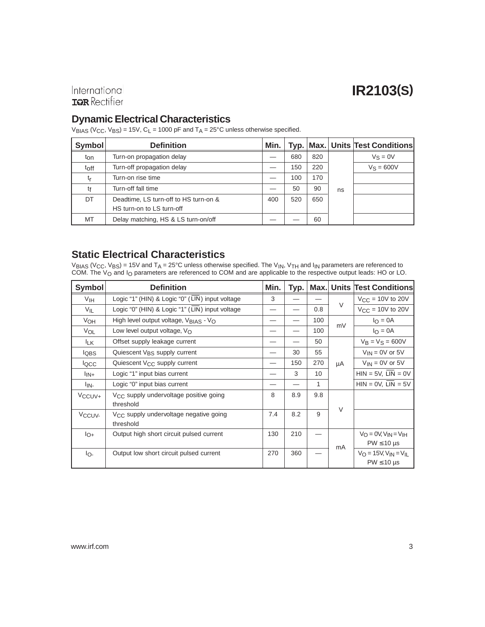### International **IGR** Rectifier

#### **Dynamic Electrical Characteristics**

 $V_{\text{BIAS}}$  (V<sub>CC</sub>, V<sub>BS</sub>) = 15V, C<sub>L</sub> = 1000 pF and T<sub>A</sub> = 25°C unless otherwise specified.

| <b>Symbol</b>  | <b>Definition</b>                     | Min. |     |     |    | Typ.   Max.   Units   Test Conditions |
|----------------|---------------------------------------|------|-----|-----|----|---------------------------------------|
| ton            | Turn-on propagation delay             |      | 680 | 820 |    | $V_S = 0V$                            |
| toff           | Turn-off propagation delay            |      | 150 | 220 |    | $V_S = 600V$                          |
| t <sub>r</sub> | Turn-on rise time                     |      | 100 | 170 |    |                                       |
| tf             | Turn-off fall time                    |      | 50  | 90  | ns |                                       |
| DT             | Deadtime, LS turn-off to HS turn-on & | 400  | 520 | 650 |    |                                       |
|                | HS turn-on to LS turn-off             |      |     |     |    |                                       |
| MT             | Delay matching, HS & LS turn-on/off   |      |     | 60  |    |                                       |

### **Static Electrical Characteristics**

 $\rm{V_{BIAS}}$  (V $\rm{_{CC}}$ , V $\rm{_{BS}})$  = 15V and T $\rm{_{A}}$  = 25°C unless otherwise specified. The V $\rm{_{IN}}$ , V $\rm{_{TH}}$  and I $\rm{_{IN}}$  parameters are referenced to COM. The V<sub>O</sub> and I<sub>O</sub> parameters are referenced to COM and are applicable to the respective output leads: HO or LO.

| <b>Symbol</b>               | <b>Definition</b>                                               | Min. | Typ. |     |        | <b>Max. Units Test Conditions</b>                                                        |
|-----------------------------|-----------------------------------------------------------------|------|------|-----|--------|------------------------------------------------------------------------------------------|
| V <sub>IH</sub>             | Logic "1" (HIN) & Logic "0" (LIN) input voltage                 | 3    |      |     |        | $V_{\text{CC}} = 10V$ to 20V                                                             |
| $V_{IL}$                    | Logic "0" (HIN) & Logic "1" (LIN) input voltage                 |      |      | 0.8 | $\vee$ | $V_{CC}$ = 10V to 20V                                                                    |
| V <sub>OH</sub>             | High level output voltage, $V_{\text{BIAS}}$ - $V_{\text{O}}$   |      |      | 100 | mV     | $I_{\Omega} = 0A$                                                                        |
| VOL                         | Low level output voltage, $V_{\Omega}$                          |      |      | 100 |        | $I_{\Omega} = 0A$                                                                        |
| <sup>I</sup> LK             | Offset supply leakage current                                   |      |      | 50  |        | $V_B = V_S = 600V$                                                                       |
| <b>IQBS</b>                 | Quiescent V <sub>BS</sub> supply current                        |      | 30   | 55  |        | $V_{IN}$ = 0V or 5V                                                                      |
| locc                        | Quiescent V <sub>CC</sub> supply current                        |      | 150  | 270 | μA     | $V_{IN}$ = 0V or 5V                                                                      |
| $\mathsf{I}_{\mathsf{IN}+}$ | Logic "1" input bias current                                    |      | 3    | 10  |        | $HIN = 5V$ , $LIN = 0V$                                                                  |
| lin-                        | Logic "0" input bias current                                    |      |      | 1   |        | $HIN = 0V$ , $LIN = 5V$                                                                  |
| V <sub>CCUV</sub> +         | V <sub>CC</sub> supply undervoltage positive going              | 8    | 8.9  | 9.8 |        |                                                                                          |
|                             | threshold                                                       |      |      |     | $\vee$ |                                                                                          |
| V <sub>CCUV</sub>           | V <sub>CC</sub> supply undervoltage negative going<br>threshold | 7.4  | 8.2  | 9   |        |                                                                                          |
| $I_{O+}$                    | Output high short circuit pulsed current                        | 130  | 210  |     | mA     | $V_O = 0V$ , $V_{IN} = V_{IH}$<br>$PW \leq 10 \text{ }\mu\text{s}$                       |
| lo-                         | Output low short circuit pulsed current                         | 270  | 360  |     |        | $V_{\Omega} = 15V$ , $V_{\text{IN}} = V_{\text{II}}$<br>$PW \leq 10 \text{ }\mu\text{s}$ |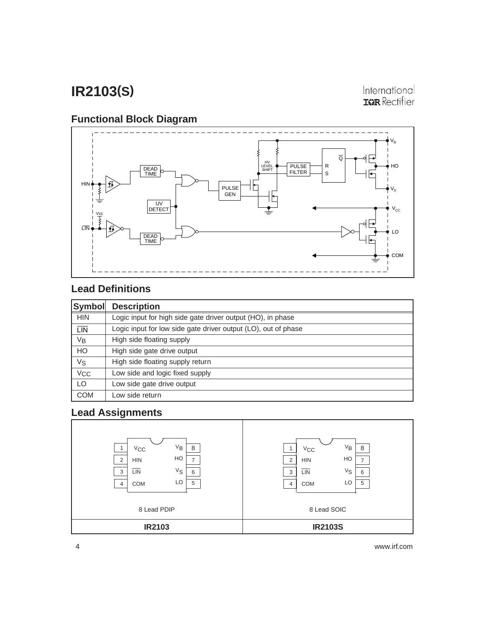International **ISR** Rectifier

### **Functional Block Diagram**



### **Lead Definitions**

| Symbol                  | <b>Description</b>                                             |
|-------------------------|----------------------------------------------------------------|
| <b>HIN</b>              | Logic input for high side gate driver output (HO), in phase    |
| $\overline{\text{LIN}}$ | Logic input for low side gate driver output (LO), out of phase |
| VB                      | High side floating supply                                      |
| HO                      | High side gate drive output                                    |
| Vs                      | High side floating supply return                               |
| <b>V<sub>CC</sub></b>   | Low side and logic fixed supply                                |
| LO                      | Low side gate drive output                                     |
| <b>COM</b>              | Low side return                                                |

### **Lead Assignments**

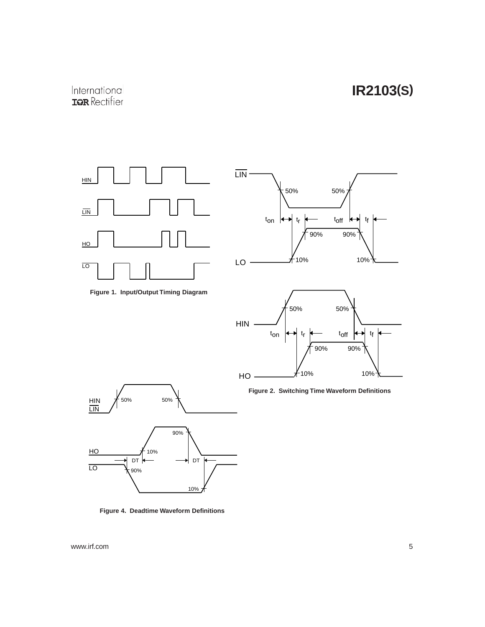











**Figure 4. Deadtime Waveform Definitions**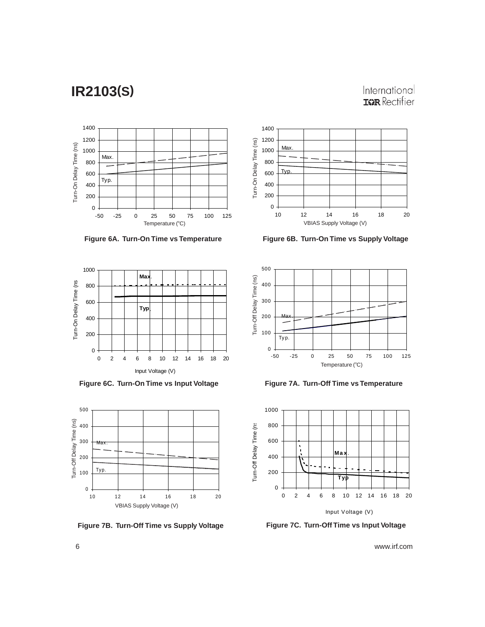International **ISR** Rectifier





**Figure 6A. Turn-On Time vs Temperature**



**Figure 6C. Turn-On Time vs Input Voltage**



**Figure 7B. Turn-Off Time vs Supply Voltage**

**Figure 6B. Turn-On Time vs Supply Voltage**



**Figure 7A. Turn-Off Time vs Temperature**



**Figure 7C. Turn-Off Time vs Input Voltage**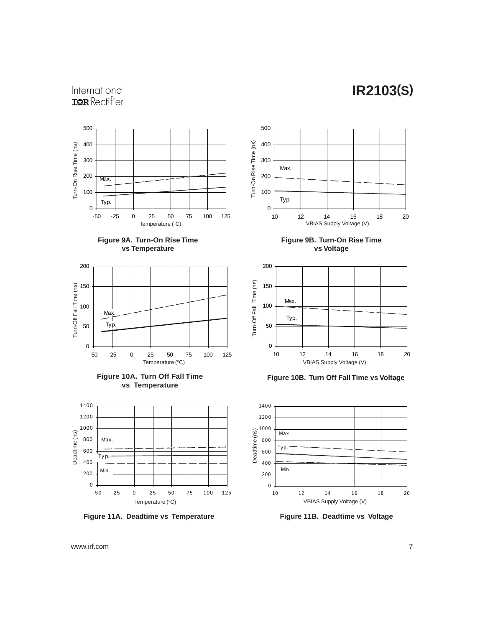### International **IQR** Rectifier







![](_page_6_Figure_5.jpeg)

![](_page_6_Figure_6.jpeg)

**Figure 11A. Deadtime vs Temperature**

![](_page_6_Figure_8.jpeg)

**Figure 9B. Turn-On Rise Time vs Voltage**

![](_page_6_Figure_10.jpeg)

**Figure 10B. Turn Off Fall Time vs Voltage**

![](_page_6_Figure_12.jpeg)

**Figure 11B. Deadtime vs Voltage**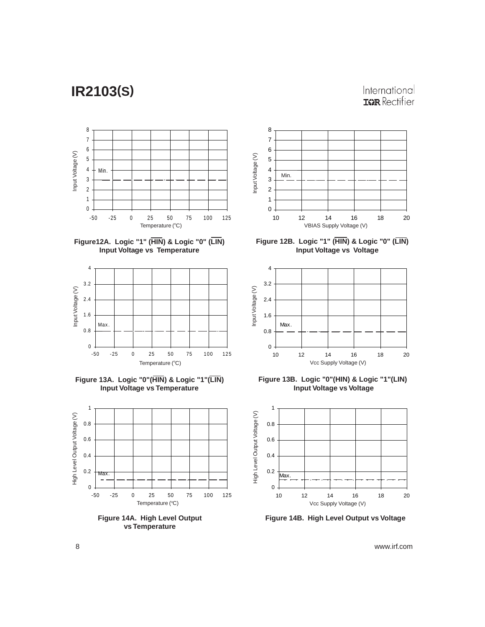#### International **TOR** Rectifier

![](_page_7_Figure_2.jpeg)

![](_page_7_Figure_3.jpeg)

![](_page_7_Figure_4.jpeg)

![](_page_7_Figure_5.jpeg)

![](_page_7_Figure_6.jpeg)

**vs Temperature**

![](_page_7_Figure_8.jpeg)

![](_page_7_Figure_9.jpeg)

![](_page_7_Figure_10.jpeg)

**Figure 13B. Logic "0"(HIN) & Logic "1"(LIN) Input Voltage vs Voltage**

![](_page_7_Figure_12.jpeg)

**Figure 14B. High Level Output vs Voltage**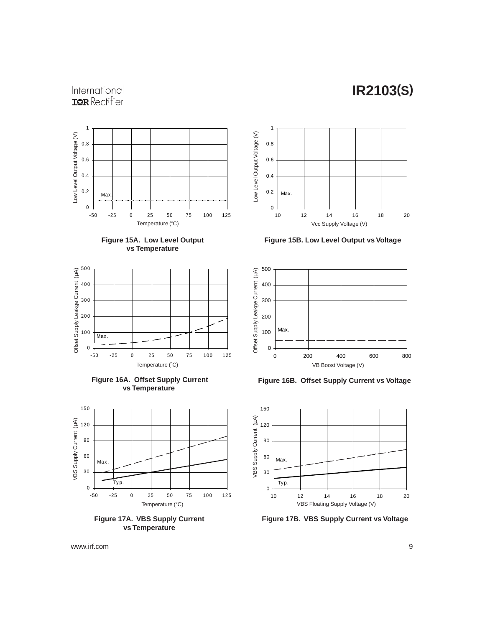### International **IGR** Rectifier

![](_page_8_Figure_2.jpeg)

![](_page_8_Figure_3.jpeg)

![](_page_8_Figure_4.jpeg)

![](_page_8_Figure_5.jpeg)

![](_page_8_Figure_6.jpeg)

**vs Temperature**

![](_page_8_Figure_8.jpeg)

**Figure 15B. Low Level Output vs Voltage**

![](_page_8_Figure_10.jpeg)

**Figure 16B. Offset Supply Current vs Voltage**

![](_page_8_Figure_12.jpeg)

**Figure 17B. VBS Supply Current vs Voltage**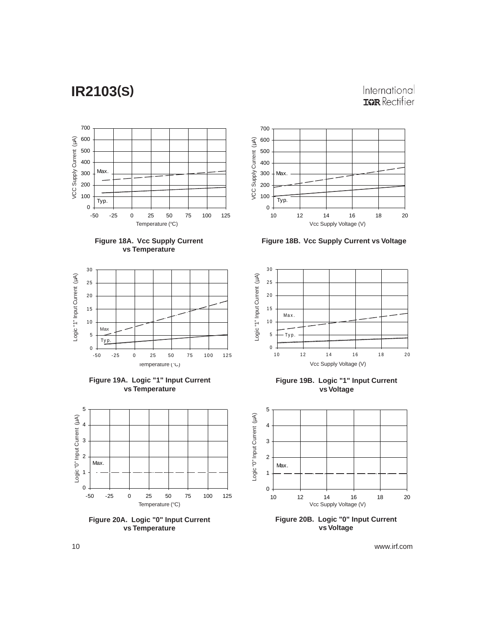### International **ISR** Rectifier

![](_page_9_Figure_2.jpeg)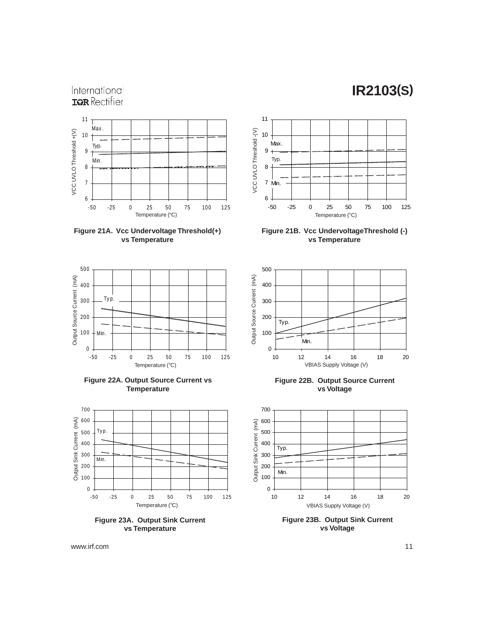#### International **IGR** Rectifier

![](_page_10_Figure_2.jpeg)

![](_page_10_Figure_3.jpeg)

![](_page_10_Figure_4.jpeg)

**Figure 22A. Output Source Current vs Temperature**

![](_page_10_Figure_6.jpeg)

**vs Temperature**

![](_page_10_Figure_8.jpeg)

**Figure 21B. Vcc UndervoltageThreshold (-) vs Temperature**

![](_page_10_Figure_10.jpeg)

**Figure 22B. Output Source Current vs Voltage**

![](_page_10_Figure_12.jpeg)

**Figure 23B. Output Sink Current vs Voltage**